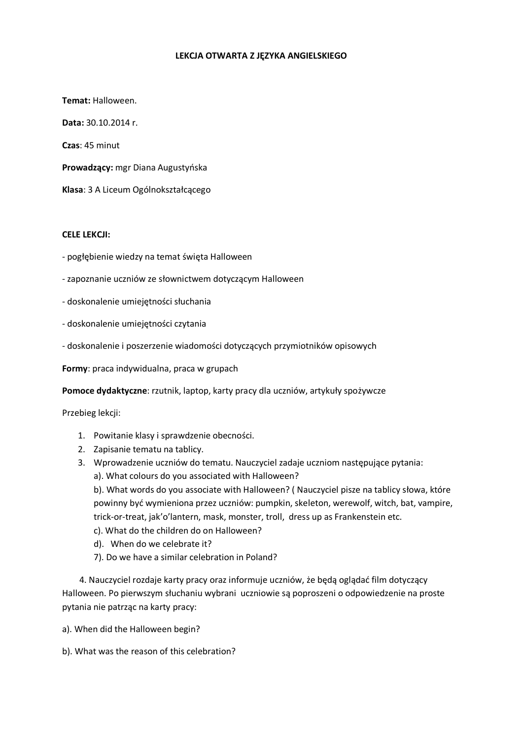### LEKCJA OTWARTA Z JĘZYKA ANGIELSKIEGO

Temat: Halloween.

Data: 30.10.2014 r.

Czas: 45 minut

Prowadzący: mgr Diana Augustyńska

Klasa: 3 A Liceum Ogólnokształcącego

#### **CELE LEKCJI:**

- pogłębienie wiedzy na temat święta Halloween
- zapoznanie uczniów ze słownictwem dotyczącym Halloween
- doskonalenie umiejętności słuchania
- doskonalenie umiejętności czytania
- doskonalenie i poszerzenie wiadomości dotyczących przymiotników opisowych

Formy: praca indywidualna, praca w grupach

Pomoce dydaktyczne: rzutnik, laptop, karty pracy dla uczniów, artykuły spożywcze

Przebieg lekcji:

- 1. Powitanie klasy i sprawdzenie obecności.
- 2. Zapisanie tematu na tablicy.
- 3. Wprowadzenie uczniów do tematu. Nauczyciel zadaje uczniom następujące pytania:
	- a). What colours do you associated with Halloween?

b). What words do you associate with Halloween? (Nauczyciel pisze na tablicy słowa, które powinny być wymieniona przez uczniów: pumpkin, skeleton, werewolf, witch, bat, vampire, trick-or-treat, jak'o'lantern, mask, monster, troll, dress up as Frankenstein etc.

- c). What do the children do on Halloween?
- d). When do we celebrate it?
- 7). Do we have a similar celebration in Poland?

4. Nauczyciel rozdaje karty pracy oraz informuje uczniów, że będą oglądać film dotyczący Halloween. Po pierwszym słuchaniu wybrani uczniowie są poproszeni o odpowiedzenie na proste pytania nie patrząc na karty pracy:

a). When did the Halloween begin?

b). What was the reason of this celebration?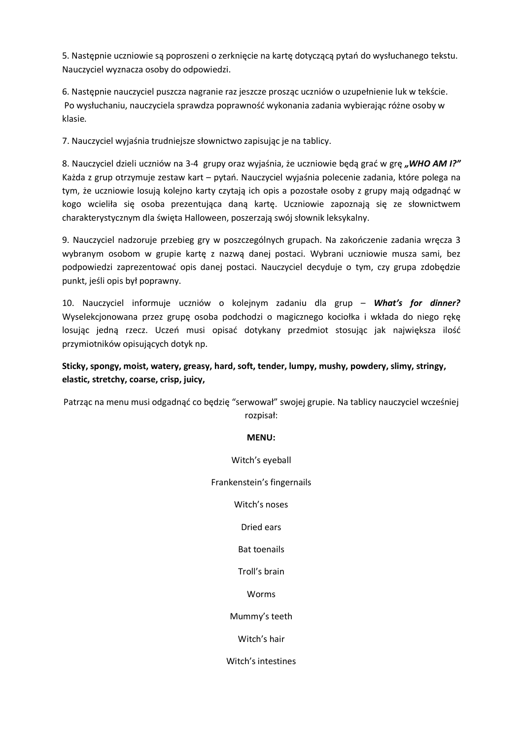5. Nastepnie uczniowie są poproszeni o zerknięcie na kartę dotyczącą pytań do wysłuchanego tekstu. Nauczyciel wyznacza osoby do odpowiedzi.

6. Nastepnie nauczyciel puszcza nagranie raz jeszcze prosząc uczniów o uzupełnienie luk w tekście. Po wysłuchaniu, nauczyciela sprawdza poprawność wykonania zadania wybierając różne osoby w klasie.

7. Nauczyciel wyjaśnia trudniejsze słownictwo zapisując je na tablicy.

8. Nauczyciel dzieli uczniów na 3-4 grupy oraz wyjaśnia, że uczniowie będą grać w grę, WHO AM I?" Każda z grup otrzymuje zestaw kart – pytań. Nauczyciel wyjaśnia polecenie zadania, które polega na tym, że uczniowie losują kolejno karty czytają ich opis a pozostałe osoby z grupy mają odgadnąć w kogo wcieliła się osoba prezentująca daną kartę. Uczniowie zapoznają się ze słownictwem charakterystycznym dla święta Halloween, poszerzają swój słownik leksykalny.

9. Nauczyciel nadzoruje przebieg gry w poszczególnych grupach. Na zakończenie zadania wręcza 3 wybranym osobom w grupie kartę z nazwą danej postaci. Wybrani uczniowie musza sami, bez podpowiedzi zaprezentować opis danej postaci. Nauczyciel decyduje o tym, czy grupa zdobędzie punkt, jeśli opis był poprawny.

10. Nauczyciel informuie uczniów o koleinym zadaniu dla grup – What's for dinner? Wyselekcjonowana przez grupę osoba podchodzi o magicznego kociołka i wkłada do niego rękę losując jedną rzecz. Uczeń musi opisać dotykany przedmiot stosując jak największa ilość przymiotników opisujących dotyk np.

## Sticky, spongy, moist, watery, greasy, hard, soft, tender, lumpy, mushy, powdery, slimy, stringy, elastic, stretchy, coarse, crisp, juicy,

Patrząc na menu musi odgadnąć co będzię "serwował" swojej grupie. Na tablicy nauczyciel wcześniej rozpisał:

### **MENU:**

Witch's eyeball

Frankenstein's fingernails

Witch's noses

### Dried ears

**Bat toenails** 

Troll's brain

Worms

Mummy's teeth

Witch's hair

Witch's intestines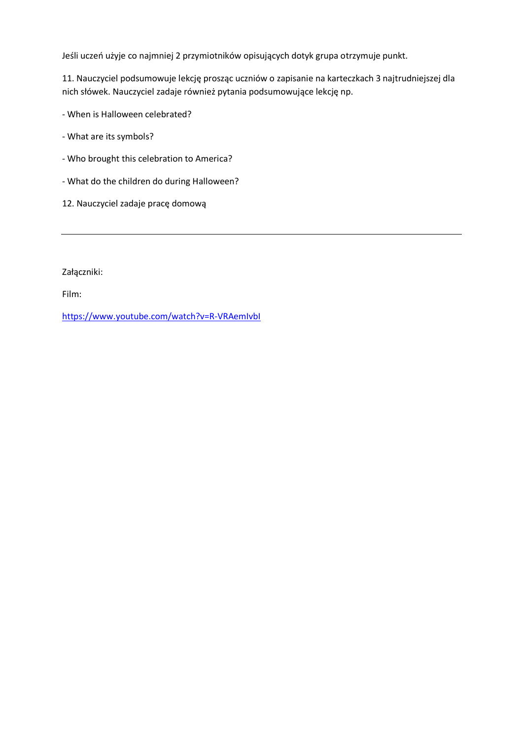Jeśli uczeń użyje co najmniej 2 przymiotników opisujących dotyk grupa otrzymuje punkt.

11. Nauczyciel podsumowuje lekcję prosząc uczniów o zapisanie na karteczkach 3 najtrudniejszej dla nich słówek. Nauczyciel zadaje również pytania podsumowujące lekcję np.

- When is Halloween celebrated?

- What are its symbols?

- Who brought this celebration to America?
- What do the children do during Halloween?
- 12. Nauczyciel zadaje pracę domową

Załączniki:

Film:

https://www.youtube.com/watch?v=R-VRAemIvbI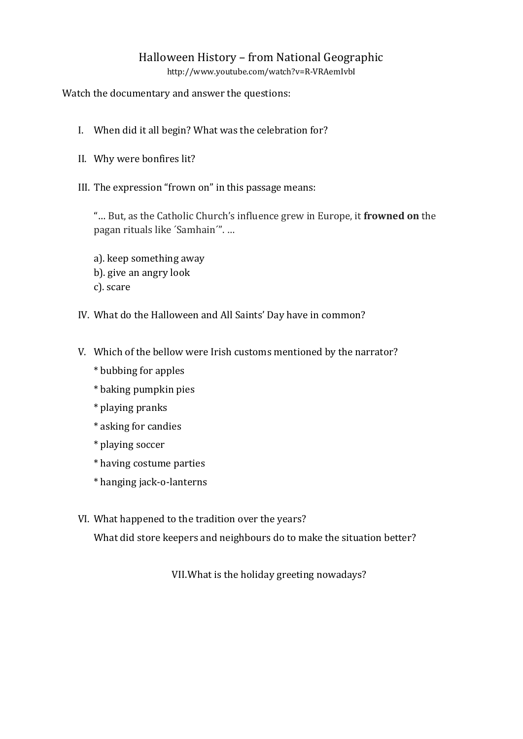# Halloween History - from National Geographic

http://www.youtube.com/watch?v=R-VRAemIvbI

Watch the documentary and answer the questions:

- I. When did it all begin? What was the celebration for?
- II. Why were bonfires lit?
- III. The expression "frown on" in this passage means:

"... But, as the Catholic Church's influence grew in Europe, it frowned on the pagan rituals like 'Samhain'"....

- a). keep something away b). give an angry look c). scare
- IV. What do the Halloween and All Saints' Day have in common?
- V. Which of the bellow were Irish customs mentioned by the narrator?
	- \* bubbing for apples
	- \* baking pumpkin pies
	- \* playing pranks
	- \* asking for candies
	- \* playing soccer
	- \* having costume parties
	- \* hanging jack-o-lanterns
- VI. What happened to the tradition over the years?

What did store keepers and neighbours do to make the situation better?

VII. What is the holiday greeting nowadays?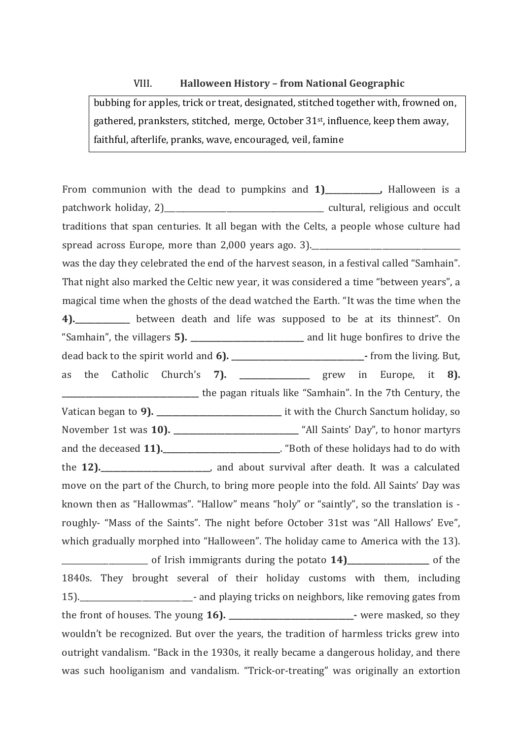#### VIII. Halloween History - from National Geographic

bubbing for apples, trick or treat, designated, stitched together with, frowned on, gathered, pranksters, stitched, merge, October 31<sup>st</sup>, influence, keep them away, faithful, afterlife, pranks, wave, encouraged, veil, famine

From communion with the dead to pumpkins and 1) [16]. Halloween is a patchwork holiday, 2) cultural, religious and occult traditions that span centuries. It all began with the Celts, a people whose culture had spread across Europe, more than 2,000 years ago. 3). was the day they celebrated the end of the harvest season, in a festival called "Samhain". That night also marked the Celtic new year, it was considered a time "between years", a magical time when the ghosts of the dead watched the Earth. "It was the time when the 4). between death and life was supposed to be at its thinnest". On as the Catholic Church's 7). \_\_\_\_\_\_\_\_\_\_\_\_\_\_\_ grew in Europe, it 8). the pagan rituals like "Samhain". In the 7th Century, the November 1st was 10). The "All Saints' Day", to honor martyrs and the deceased 11). \_\_\_\_\_\_\_\_\_\_\_\_\_\_\_\_\_\_\_\_\_. "Both of these holidays had to do with the 12). \_\_\_\_\_\_\_\_\_\_\_\_\_\_\_\_\_\_\_\_\_\_\_, and about survival after death. It was a calculated move on the part of the Church, to bring more people into the fold. All Saints' Day was known then as "Hallowmas". "Hallow" means "holy" or "saintly", so the translation is roughly- "Mass of the Saints". The night before October 31st was "All Hallows' Eve", which gradually morphed into "Halloween". The holiday came to America with the 13). of Irish immigrants during the potato 14) \_\_\_\_\_\_\_\_\_\_\_\_\_\_\_ of the 1840s. They brought several of their holiday customs with them, including 15). **The absolute Community** and playing tricks on neighbors, like removing gates from wouldn't be recognized. But over the years, the tradition of harmless tricks grew into outright vandalism. "Back in the 1930s, it really became a dangerous holiday, and there was such hooliganism and vandalism. "Trick-or-treating" was originally an extortion